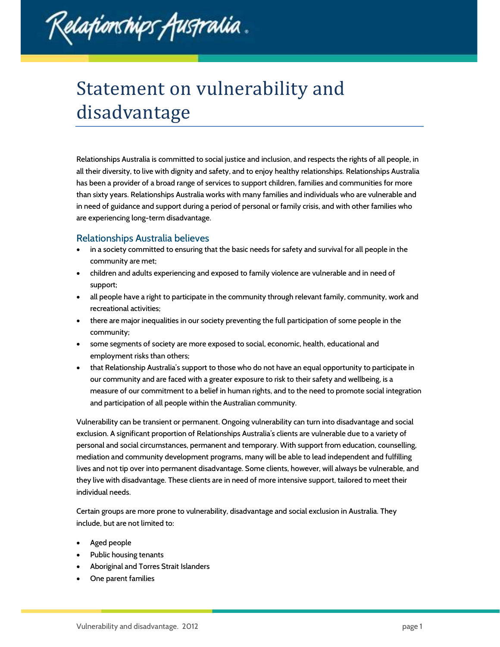

## Statement on vulnerability and disadvantage

Relationships Australia is committed to social justice and inclusion, and respects the rights of all people, in all their diversity, to live with dignity and safety, and to enjoy healthy relationships. Relationships Australia has been a provider of a broad range of services to support children, families and communities for more than sixty years. Relationships Australia works with many families and individuals who are vulnerable and in need of guidance and support during a period of personal or family crisis, and with other families who are experiencing long-term disadvantage.

## Relationships Australia believes

- in a society committed to ensuring that the basic needs for safety and survival for all people in the community are met;
- children and adults experiencing and exposed to family violence are vulnerable and in need of support;
- all people have a right to participate in the community through relevant family, community, work and recreational activities;
- there are major inequalities in our society preventing the full participation of some people in the community;
- some segments of society are more exposed to social, economic, health, educational and employment risks than others;
- that Relationship Australia's support to those who do not have an equal opportunity to participate in our community and are faced with a greater exposure to risk to their safety and wellbeing, is a measure of our commitment to a belief in human rights, and to the need to promote social integration and participation of all people within the Australian community.

Vulnerability can be transient or permanent. Ongoing vulnerability can turn into disadvantage and social exclusion. A significant proportion of Relationships Australia's clients are vulnerable due to a variety of personal and social circumstances, permanent and temporary. With support from education, counselling, mediation and community development programs, many will be able to lead independent and fulfilling lives and not tip over into permanent disadvantage. Some clients, however, will always be vulnerable, and they live with disadvantage. These clients are in need of more intensive support, tailored to meet their individual needs.

Certain groups are more prone to vulnerability, disadvantage and social exclusion in Australia. They include, but are not limited to:

- Aged people
- Public housing tenants
- Aboriginal and Torres Strait Islanders
- One parent families